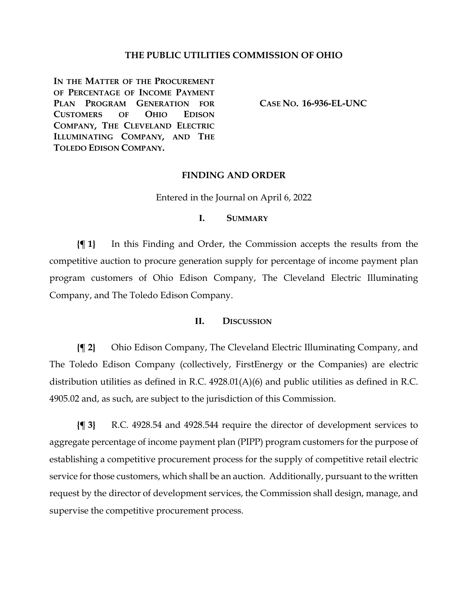## **THE PUBLIC UTILITIES COMMISSION OF OHIO**

IN THE **MATTER OF THE PROCUREMENT OF PERCENTAGE OF INCOME PAYMENT PLAN PROGRAM GENERATION FOR CUSTOMERS OF OHIO EDISON COMPANY, THE CLEVELAND ELECTRIC ILLUMINATING COMPANY, AND THE TOLEDO EDISON COMPANY.**

**CASE NO. 16-936-EL-UNC**

#### **FINDING AND ORDER**

#### Entered in the Journal on April 6, 2022

### **I. SUMMARY**

**{¶ 1}** In this Finding and Order, the Commission accepts the results from the competitive auction to procure generation supply for percentage of income payment plan program customers of Ohio Edison Company, The Cleveland Electric Illuminating Company, and The Toledo Edison Company.

#### **II. DISCUSSION**

**{¶ 2}** Ohio Edison Company, The Cleveland Electric Illuminating Company, and The Toledo Edison Company (collectively, FirstEnergy or the Companies) are electric distribution utilities as defined in R.C. 4928.01(A)(6) and public utilities as defined in R.C. 4905.02 and, as such, are subject to the jurisdiction of this Commission.

**{¶ 3}** R.C. 4928.54 and 4928.544 require the director of development services to aggregate percentage of income payment plan (PIPP) program customers for the purpose of establishing a competitive procurement process for the supply of competitive retail electric service for those customers, which shall be an auction. Additionally, pursuant to the written request by the director of development services, the Commission shall design, manage, and supervise the competitive procurement process.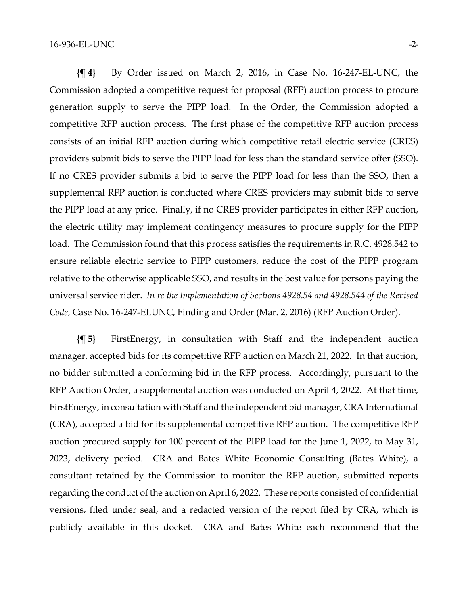**{¶ 4}** By Order issued on March 2, 2016, in Case No. 16-247-EL-UNC, the Commission adopted a competitive request for proposal (RFP) auction process to procure generation supply to serve the PIPP load. In the Order, the Commission adopted a competitive RFP auction process. The first phase of the competitive RFP auction process consists of an initial RFP auction during which competitive retail electric service (CRES) providers submit bids to serve the PIPP load for less than the standard service offer (SSO). If no CRES provider submits a bid to serve the PIPP load for less than the SSO, then a supplemental RFP auction is conducted where CRES providers may submit bids to serve the PIPP load at any price. Finally, if no CRES provider participates in either RFP auction, the electric utility may implement contingency measures to procure supply for the PIPP load. The Commission found that this process satisfies the requirements in R.C. 4928.542 to ensure reliable electric service to PIPP customers, reduce the cost of the PIPP program relative to the otherwise applicable SSO, and results in the best value for persons paying the universal service rider. *In re the Implementation of Sections 4928.54 and 4928.544 of the Revised Code*, Case No. 16-247-ELUNC, Finding and Order (Mar. 2, 2016) (RFP Auction Order).

**{¶ 5}** FirstEnergy, in consultation with Staff and the independent auction manager, accepted bids for its competitive RFP auction on March 21, 2022. In that auction, no bidder submitted a conforming bid in the RFP process. Accordingly, pursuant to the RFP Auction Order, a supplemental auction was conducted on April 4, 2022. At that time, FirstEnergy, in consultation with Staff and the independent bid manager, CRA International (CRA), accepted a bid for its supplemental competitive RFP auction. The competitive RFP auction procured supply for 100 percent of the PIPP load for the June 1, 2022, to May 31, 2023, delivery period. CRA and Bates White Economic Consulting (Bates White), a consultant retained by the Commission to monitor the RFP auction, submitted reports regarding the conduct of the auction on April 6, 2022. These reports consisted of confidential versions, filed under seal, and a redacted version of the report filed by CRA, which is publicly available in this docket. CRA and Bates White each recommend that the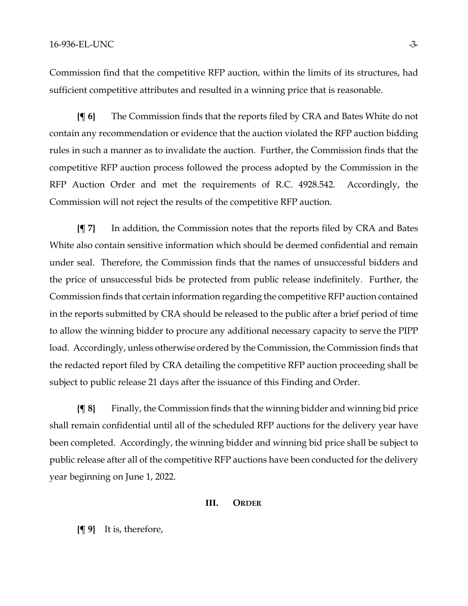Commission find that the competitive RFP auction, within the limits of its structures, had sufficient competitive attributes and resulted in a winning price that is reasonable.

**{¶ 6}** The Commission finds that the reports filed by CRA and Bates White do not contain any recommendation or evidence that the auction violated the RFP auction bidding rules in such a manner as to invalidate the auction. Further, the Commission finds that the competitive RFP auction process followed the process adopted by the Commission in the RFP Auction Order and met the requirements of R.C. 4928.542. Accordingly, the Commission will not reject the results of the competitive RFP auction.

**{¶ 7}** In addition, the Commission notes that the reports filed by CRA and Bates White also contain sensitive information which should be deemed confidential and remain under seal. Therefore, the Commission finds that the names of unsuccessful bidders and the price of unsuccessful bids be protected from public release indefinitely. Further, the Commission finds that certain information regarding the competitive RFP auction contained in the reports submitted by CRA should be released to the public after a brief period of time to allow the winning bidder to procure any additional necessary capacity to serve the PIPP load. Accordingly, unless otherwise ordered by the Commission, the Commission finds that the redacted report filed by CRA detailing the competitive RFP auction proceeding shall be subject to public release 21 days after the issuance of this Finding and Order.

**{¶ 8}** Finally, the Commission finds that the winning bidder and winning bid price shall remain confidential until all of the scheduled RFP auctions for the delivery year have been completed. Accordingly, the winning bidder and winning bid price shall be subject to public release after all of the competitive RFP auctions have been conducted for the delivery year beginning on June 1, 2022.

#### **III. ORDER**

**{¶ 9}** It is, therefore,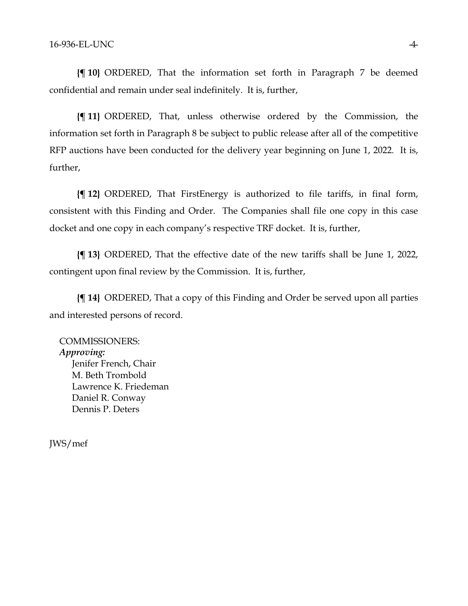**{¶ 10}** ORDERED, That the information set forth in Paragraph 7 be deemed confidential and remain under seal indefinitely. It is, further,

**{¶ 11}** ORDERED, That, unless otherwise ordered by the Commission, the information set forth in Paragraph 8 be subject to public release after all of the competitive RFP auctions have been conducted for the delivery year beginning on June 1, 2022. It is, further,

**{¶ 12}** ORDERED, That FirstEnergy is authorized to file tariffs, in final form, consistent with this Finding and Order. The Companies shall file one copy in this case docket and one copy in each company's respective TRF docket. It is, further,

**{¶ 13}** ORDERED, That the effective date of the new tariffs shall be June 1, 2022, contingent upon final review by the Commission. It is, further,

**{¶ 14}** ORDERED, That a copy of this Finding and Order be served upon all parties and interested persons of record.

COMMISSIONERS: *Approving:*  Jenifer French, Chair M. Beth Trombold Lawrence K. Friedeman Daniel R. Conway Dennis P. Deters

JWS/mef